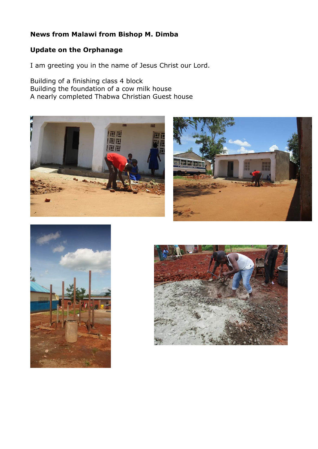## **News from Malawi from Bishop M. Dimba**

## **Update on the Orphanage**

I am greeting you in the name of Jesus Christ our Lord.

Building of a finishing class 4 block Building the foundation of a cow milk house A nearly completed Thabwa Christian Guest house







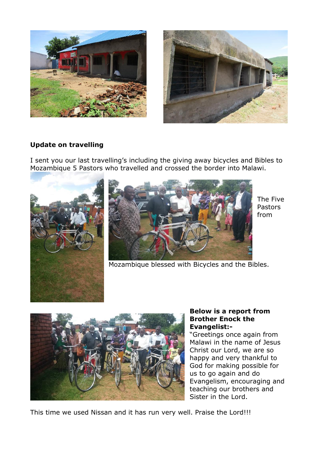



## **Update on travelling**

I sent you our last travelling's including the giving away bicycles and Bibles to Mozambique 5 Pastors who travelled and crossed the border into Malawi.





Mozambique blessed with Bicycles and the Bibles.



## **Below is a report from Brother Enock the Evangelist:-**

The Five Pastors from

"Greetings once again from Malawi in the name of Jesus Christ our Lord, we are so happy and very thankful to God for making possible for us to go again and do Evangelism, encouraging and teaching our brothers and Sister in the Lord.

This time we used Nissan and it has run very well. Praise the Lord!!!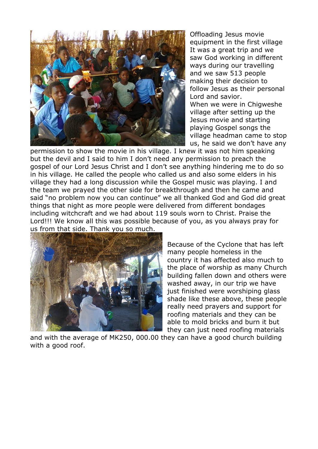

Offloading Jesus movie equipment in the first village It was a great trip and we saw God working in different ways during our travelling and we saw 513 people making their decision to follow Jesus as their personal Lord and savior. When we were in Chigweshe village after setting up the Jesus movie and starting playing Gospel songs the village headman came to stop us, he said we don't have any

permission to show the movie in his village. I knew it was not him speaking but the devil and I said to him I don't need any permission to preach the gospel of our Lord Jesus Christ and I don't see anything hindering me to do so in his village. He called the people who called us and also some elders in his village they had a long discussion while the Gospel music was playing. I and the team we prayed the other side for breakthrough and then he came and said "no problem now you can continue" we all thanked God and God did great things that night as more people were delivered from different bondages including witchcraft and we had about 119 souls worn to Christ. Praise the Lord!!! We know all this was possible because of you, as you always pray for us from that side. Thank you so much.



Because of the Cyclone that has left many people homeless in the country it has affected also much to the place of worship as many Church building fallen down and others were washed away, in our trip we have just finished were worshiping glass shade like these above, these people really need prayers and support for roofing materials and they can be able to mold bricks and burn it but they can just need roofing materials

and with the average of MK250, 000.00 they can have a good church building with a good roof.